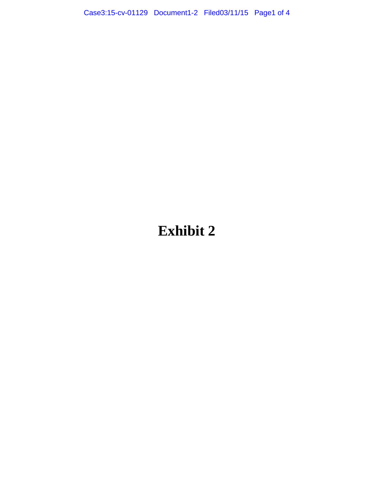Case3:15-cv-01129 Document1-2 Filed03/11/15 Page1 of 4

## **Exhibit 2**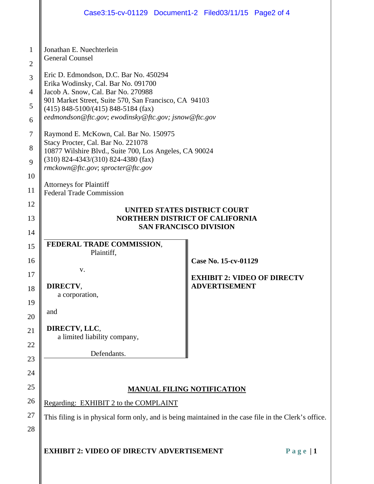|                     | Case3:15-cv-01129 Document1-2 Filed03/11/15 Page2 of 4                                                |                                    |           |  |  |  |  |
|---------------------|-------------------------------------------------------------------------------------------------------|------------------------------------|-----------|--|--|--|--|
|                     |                                                                                                       |                                    |           |  |  |  |  |
| 1<br>$\overline{2}$ | Jonathan E. Nuechterlein<br><b>General Counsel</b>                                                    |                                    |           |  |  |  |  |
| 3                   | Eric D. Edmondson, D.C. Bar No. 450294<br>Erika Wodinsky, Cal. Bar No. 091700                         |                                    |           |  |  |  |  |
| 4                   | Jacob A. Snow, Cal. Bar No. 270988                                                                    |                                    |           |  |  |  |  |
| 5                   | 901 Market Street, Suite 570, San Francisco, CA 94103<br>$(415)$ 848-5100/ $(415)$ 848-5184 (fax)     |                                    |           |  |  |  |  |
| 6                   | eedmondson@ftc.gov; ewodinsky@ftc.gov; jsnow@ftc.gov                                                  |                                    |           |  |  |  |  |
| 7                   | Raymond E. McKown, Cal. Bar No. 150975                                                                |                                    |           |  |  |  |  |
| 8                   | Stacy Procter, Cal. Bar No. 221078<br>10877 Wilshire Blvd., Suite 700, Los Angeles, CA 90024          |                                    |           |  |  |  |  |
| 9                   | $(310)$ 824-4343/(310) 824-4380 (fax)<br>rmckown@ftc.gov; sprocter@ftc.gov                            |                                    |           |  |  |  |  |
| 10                  | <b>Attorneys for Plaintiff</b>                                                                        |                                    |           |  |  |  |  |
| 11                  | <b>Federal Trade Commission</b>                                                                       |                                    |           |  |  |  |  |
| 12                  | UNITED STATES DISTRICT COURT                                                                          |                                    |           |  |  |  |  |
| 13<br>14            | <b>NORTHERN DISTRICT OF CALIFORNIA</b><br><b>SAN FRANCISCO DIVISION</b>                               |                                    |           |  |  |  |  |
| 15                  | FEDERAL TRADE COMMISSION,                                                                             |                                    |           |  |  |  |  |
| 16                  | Plaintiff,                                                                                            | Case No. 15-cv-01129               |           |  |  |  |  |
| 17                  | V.                                                                                                    | <b>EXHIBIT 2: VIDEO OF DIRECTV</b> |           |  |  |  |  |
| 18                  | DIRECTV,                                                                                              | <b>ADVERTISEMENT</b>               |           |  |  |  |  |
| 19                  | a corporation,                                                                                        |                                    |           |  |  |  |  |
| 20                  | and                                                                                                   |                                    |           |  |  |  |  |
| 21                  | DIRECTV, LLC,                                                                                         |                                    |           |  |  |  |  |
| 22                  | a limited liability company,                                                                          |                                    |           |  |  |  |  |
| 23                  | Defendants.                                                                                           |                                    |           |  |  |  |  |
| 24                  |                                                                                                       |                                    |           |  |  |  |  |
| 25                  | <b>MANUAL FILING NOTIFICATION</b>                                                                     |                                    |           |  |  |  |  |
| 26                  | Regarding: EXHIBIT 2 to the COMPLAINT                                                                 |                                    |           |  |  |  |  |
| 27                  | This filing is in physical form only, and is being maintained in the case file in the Clerk's office. |                                    |           |  |  |  |  |
| 28                  |                                                                                                       |                                    |           |  |  |  |  |
|                     | <b>EXHIBIT 2: VIDEO OF DIRECTV ADVERTISEMENT</b>                                                      |                                    | Page $ 1$ |  |  |  |  |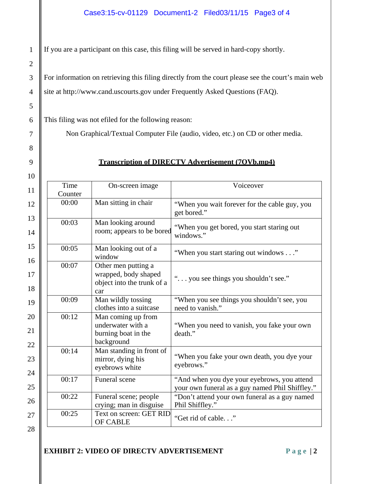If you are a participant on this case, this filing will be served in hard-copy shortly.

For information on retrieving this filing directly from the court please see the court's main web site at http://www.cand.uscourts.gov under Frequently Asked Questions (FAQ).

This filing was not efiled for the following reason:

Non Graphical/Textual Computer File (audio, video, etc.) on CD or other media.

## **Transcription of DIRECTV Advertisement (7OVb.mp4)**

| Time<br>Counter | On-screen image                                                                  | Voiceover                                                                                      |
|-----------------|----------------------------------------------------------------------------------|------------------------------------------------------------------------------------------------|
| 00:00           | Man sitting in chair                                                             | "When you wait forever for the cable guy, you<br>get bored."                                   |
| 00:03           | Man looking around<br>room; appears to be bored                                  | "When you get bored, you start staring out<br>windows."                                        |
| 00:05           | Man looking out of a<br>window                                                   | "When you start staring out windows"                                                           |
| 00:07           | Other men putting a<br>wrapped, body shaped<br>object into the trunk of a<br>car | " you see things you shouldn't see."                                                           |
| 00:09           | Man wildly tossing<br>clothes into a suitcase                                    | "When you see things you shouldn't see, you<br>need to vanish."                                |
| 00:12           | Man coming up from<br>underwater with a<br>burning boat in the<br>background     | "When you need to vanish, you fake your own<br>death."                                         |
| 00:14           | Man standing in front of<br>mirror, dying his<br>eyebrows white                  | "When you fake your own death, you dye your<br>eyebrows."                                      |
| 00:17           | Funeral scene                                                                    | "And when you dye your eyebrows, you attend<br>your own funeral as a guy named Phil Shiffley." |
| 00:22           | Funeral scene; people<br>crying; man in disguise                                 | "Don't attend your own funeral as a guy named<br>Phil Shiffley."                               |
| 00:25           | Text on screen: GET RID<br><b>OF CABLE</b>                                       | "Get rid of cable"                                                                             |

28

1

2

3

4

5

6

7

8

9

## **EXHIBIT 2: VIDEO OF DIRECTV ADVERTISEMENT** Page | 2